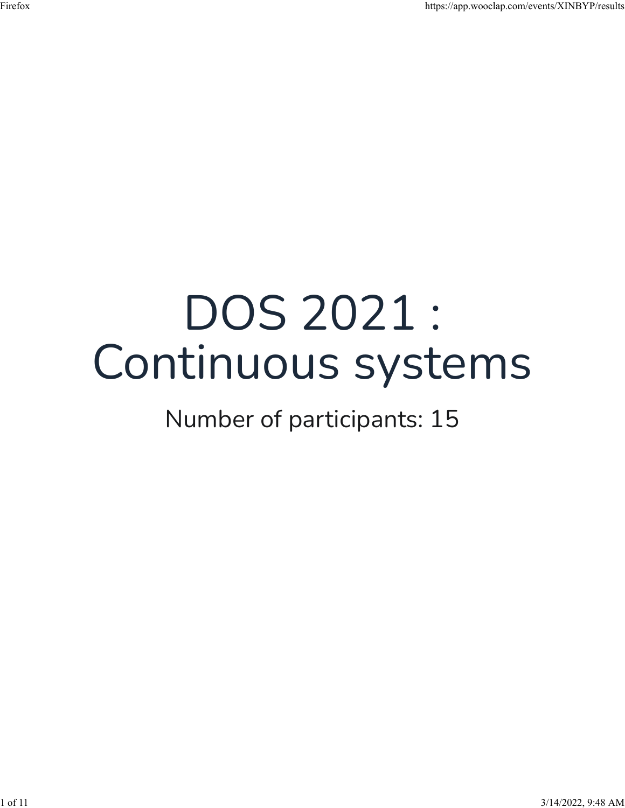## DOS 2021 : Continuous systems

## Number of participants: 15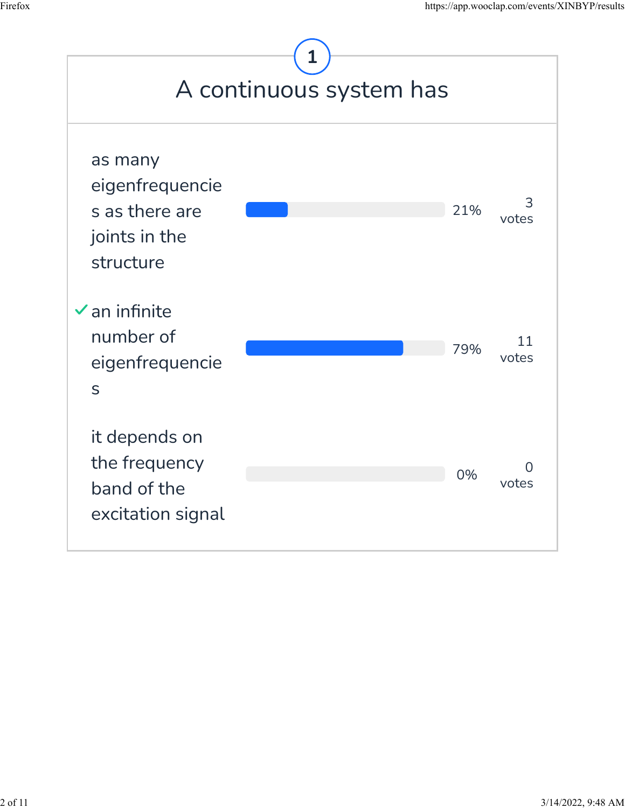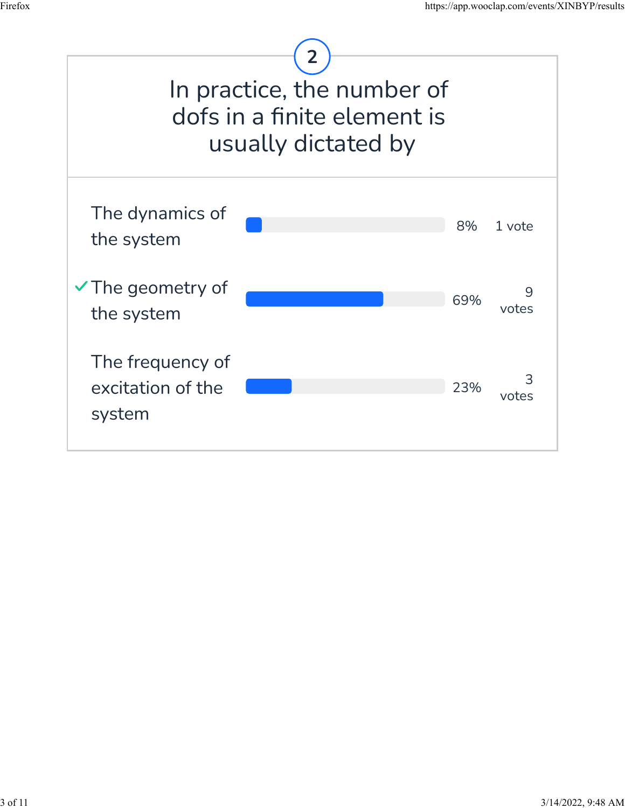

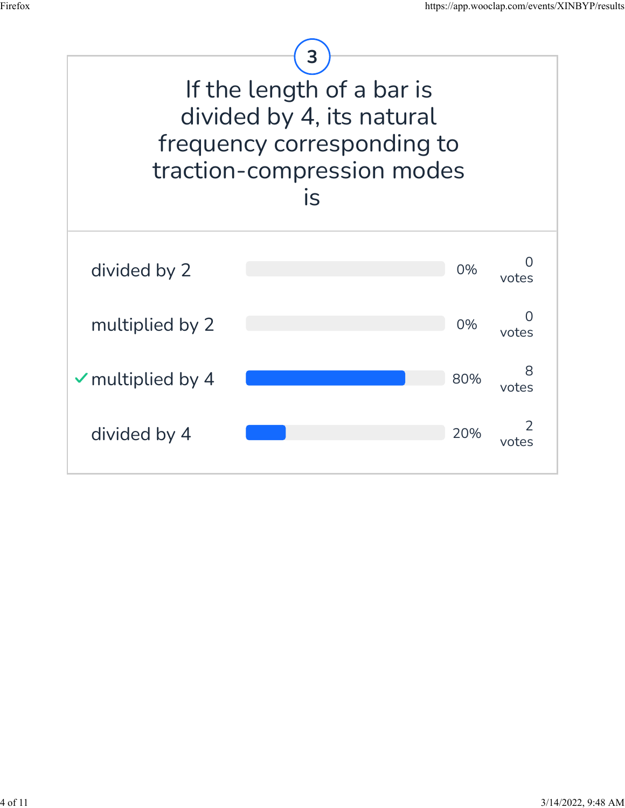

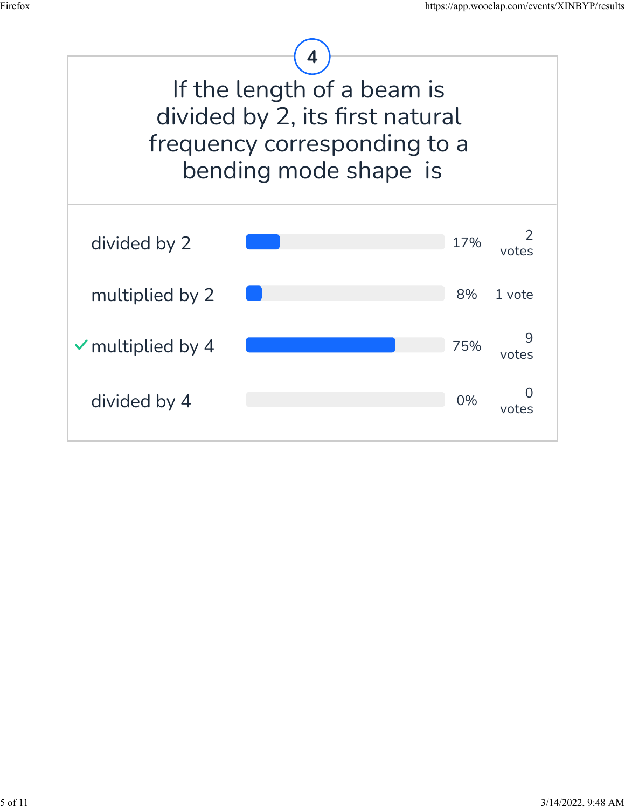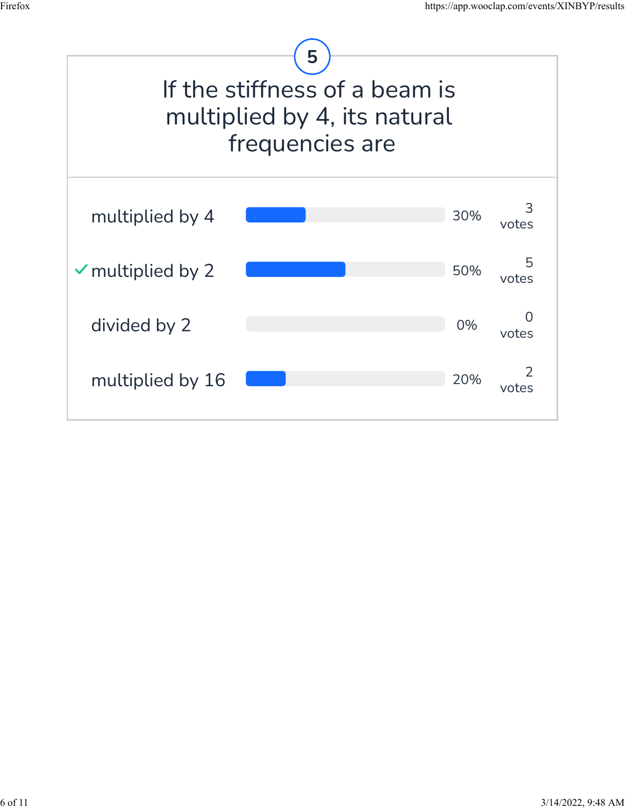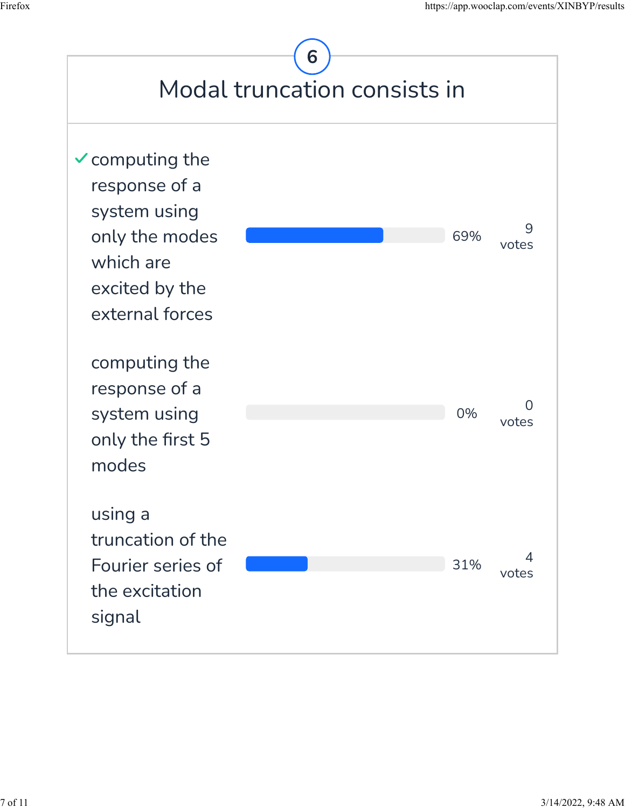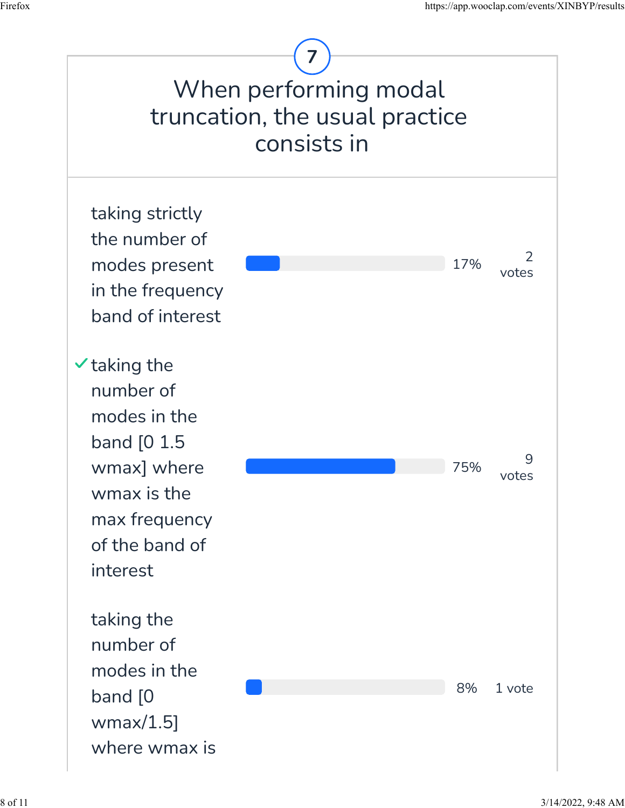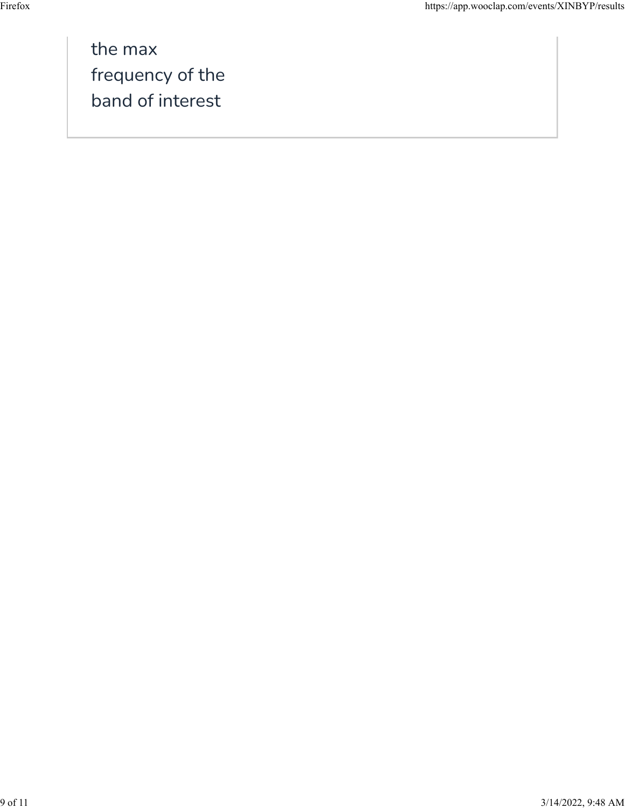the max frequency of the band of interest